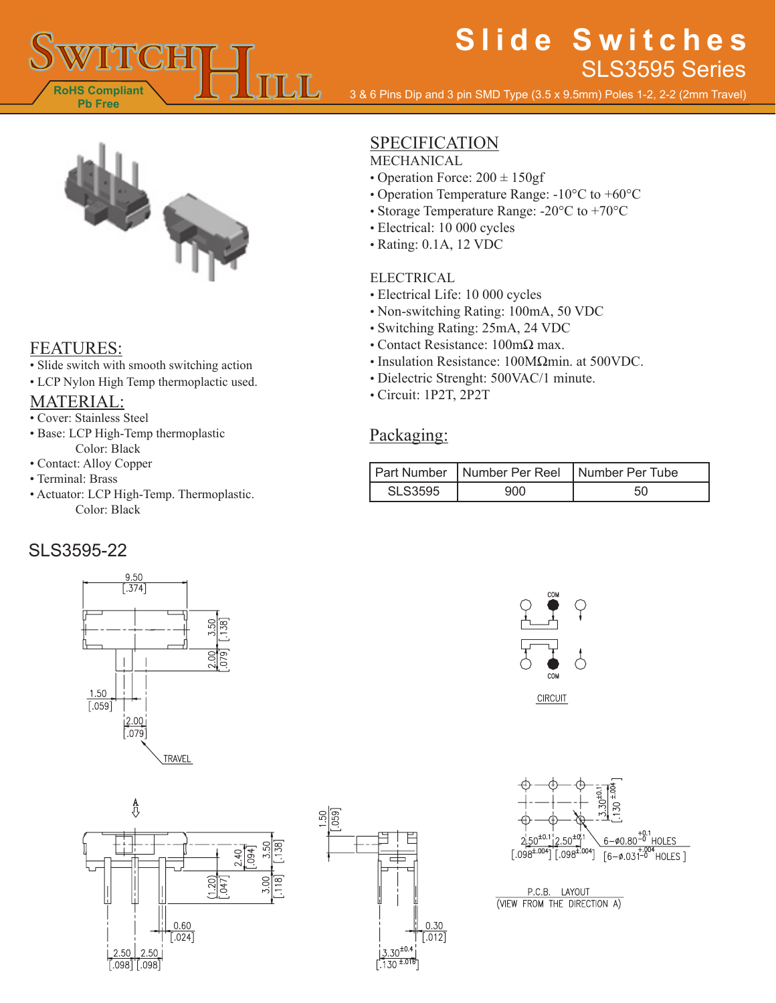

# **Slide Switches** SLS3595 Series

3 & 6 Pins Dip and 3 pin SMD Type (3.5 x 9.5mm) Poles 1-2, 2-2 (2mm Travel)



#### FEATURES:

- Slide switch with smooth switching action
- LCP Nylon High Temp thermoplactic used.

### MATERIAL:

- Cover: Stainless Steel
- Base: LCP High-Temp thermoplastic Color: Black
- Contact: Alloy Copper
- Terminal: Brass
- Actuator: LCP High-Temp. Thermoplastic. Color: Black

## SLS3595-22







### **SPECIFICATION**

MECHANICAL

- Operation Force:  $200 \pm 150$ gf
- Operation Temperature Range: -10°C to +60°C
- Storage Temperature Range: -20°C to +70°C
- Electrical: 10 000 cycles
- Rating: 0.1A, 12 VDC

#### ELECTRICAL

- Electrical Life: 10 000 cycles
- Non-switching Rating: 100mA, 50 VDC
- Switching Rating: 25mA, 24 VDC
- Contact Resistance: 100mΩ max.
- Insulation Resistance: 100MΩmin. at 500VDC.
- Dielectric Strenght: 500VAC/1 minute.
- Circuit: 1P2T, 2P2T

#### Packaging:

|                | Part Number   Number Per Reel   Number Per Tube |  |
|----------------|-------------------------------------------------|--|
| <b>SLS3595</b> | 900                                             |  |





P.C.B. LAYOUT (VIEW FROM THE DIRECTION A)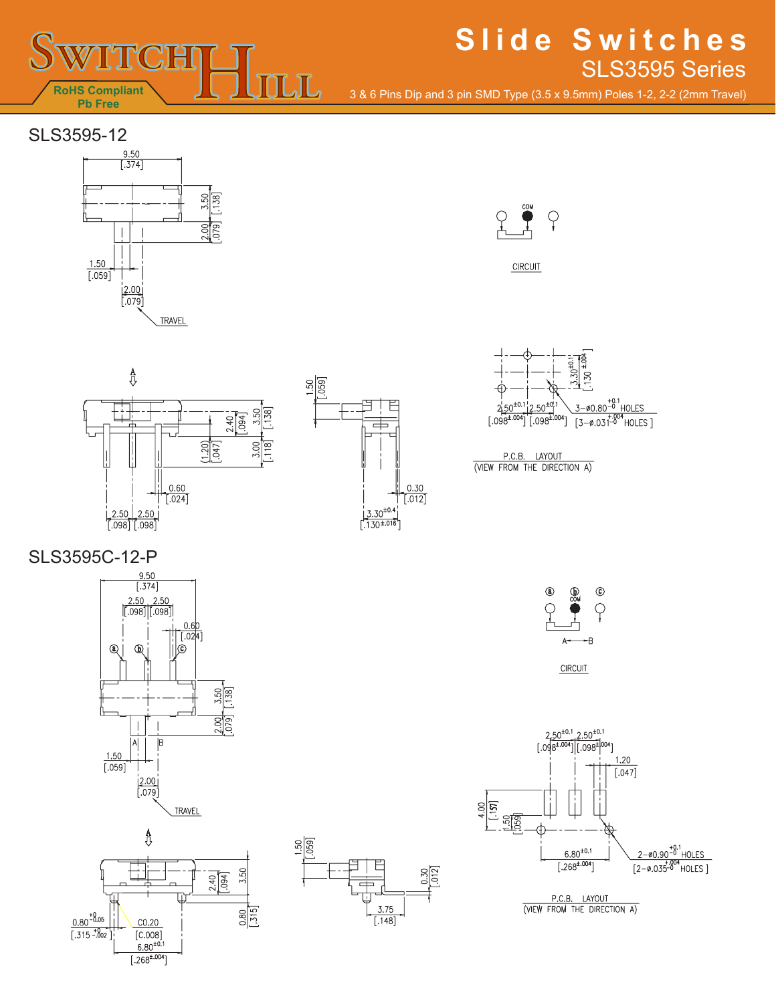

## **Slide Switches** SLS3595 Series

3 & 6 Pins Dip and 3 pin SMD Type (3.5 x 9.5mm) Poles 1-2, 2-2 (2mm Travel)

# SLS3595-12





CIRCUIT







P.C.B. LAYOUT<br>(VIEW FROM THE DIRECTION A)

SLS3595C-12-P











P.C.B. LAYOUT<br>(VIEW FROM THE DIRECTION A)